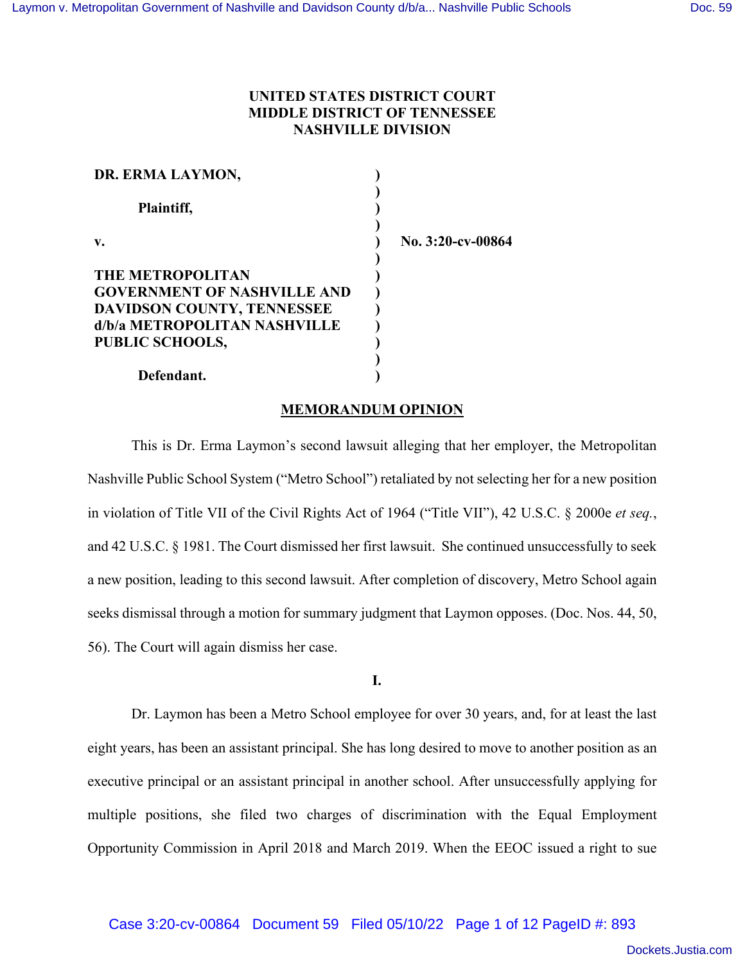### **UNITED STATES DISTRICT COURT MIDDLE DISTRICT OF TENNESSEE NASHVILLE DIVISION**

| DR. ERMA LAYMON,                   |                   |
|------------------------------------|-------------------|
| Plaintiff,                         |                   |
| $\mathbf{v}$ .                     | No. 3:20-cv-00864 |
| <b>THE METROPOLITAN</b>            |                   |
| <b>GOVERNMENT OF NASHVILLE AND</b> |                   |
| <b>DAVIDSON COUNTY, TENNESSEE</b>  |                   |
| d/b/a METROPOLITAN NASHVILLE       |                   |
| PUBLIC SCHOOLS,                    |                   |
|                                    |                   |
| Defendant.                         |                   |

#### **MEMORANDUM OPINION**

This is Dr. Erma Laymon's second lawsuit alleging that her employer, the Metropolitan Nashville Public School System ("Metro School") retaliated by not selecting her for a new position in violation of Title VII of the Civil Rights Act of 1964 ("Title VII"), 42 U.S.C. § 2000e *et seq.*, and 42 U.S.C. § 1981. The Court dismissed her first lawsuit. She continued unsuccessfully to seek a new position, leading to this second lawsuit. After completion of discovery, Metro School again seeks dismissal through a motion for summary judgment that Laymon opposes. (Doc. Nos. 44, 50, 56). The Court will again dismiss her case.

**I.**

Dr. Laymon has been a Metro School employee for over 30 years, and, for at least the last eight years, has been an assistant principal. She has long desired to move to another position as an executive principal or an assistant principal in another school. After unsuccessfully applying for multiple positions, she filed two charges of discrimination with the Equal Employment Opportunity Commission in April 2018 and March 2019. When the EEOC issued a right to sue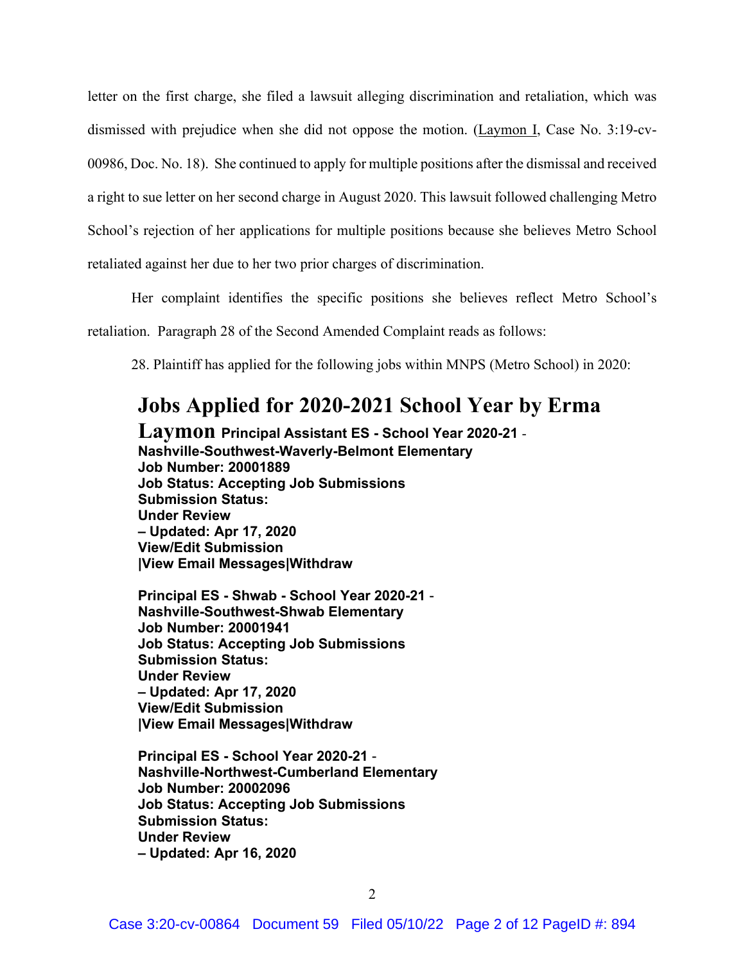letter on the first charge, she filed a lawsuit alleging discrimination and retaliation, which was dismissed with prejudice when she did not oppose the motion. (Laymon I, Case No. 3:19-cv-00986, Doc. No. 18). She continued to apply for multiple positions after the dismissal and received a right to sue letter on her second charge in August 2020. This lawsuit followed challenging Metro School's rejection of her applications for multiple positions because she believes Metro School retaliated against her due to her two prior charges of discrimination.

Her complaint identifies the specific positions she believes reflect Metro School's retaliation. Paragraph 28 of the Second Amended Complaint reads as follows:

28. Plaintiff has applied for the following jobs within MNPS (Metro School) in 2020:

# **Jobs Applied for 2020-2021 School Year by Erma**

**Laymon Principal Assistant ES - School Year 2020-21** - **Nashville-Southwest-Waverly-Belmont Elementary Job Number: 20001889 Job Status: Accepting Job Submissions Submission Status: Under Review – Updated: Apr 17, 2020 View/Edit Submission |View Email Messages|Withdraw** 

**Principal ES - Shwab - School Year 2020-21** - **Nashville-Southwest-Shwab Elementary Job Number: 20001941 Job Status: Accepting Job Submissions Submission Status: Under Review – Updated: Apr 17, 2020 View/Edit Submission |View Email Messages|Withdraw** 

**Principal ES - School Year 2020-21** - **Nashville-Northwest-Cumberland Elementary Job Number: 20002096 Job Status: Accepting Job Submissions Submission Status: Under Review – Updated: Apr 16, 2020**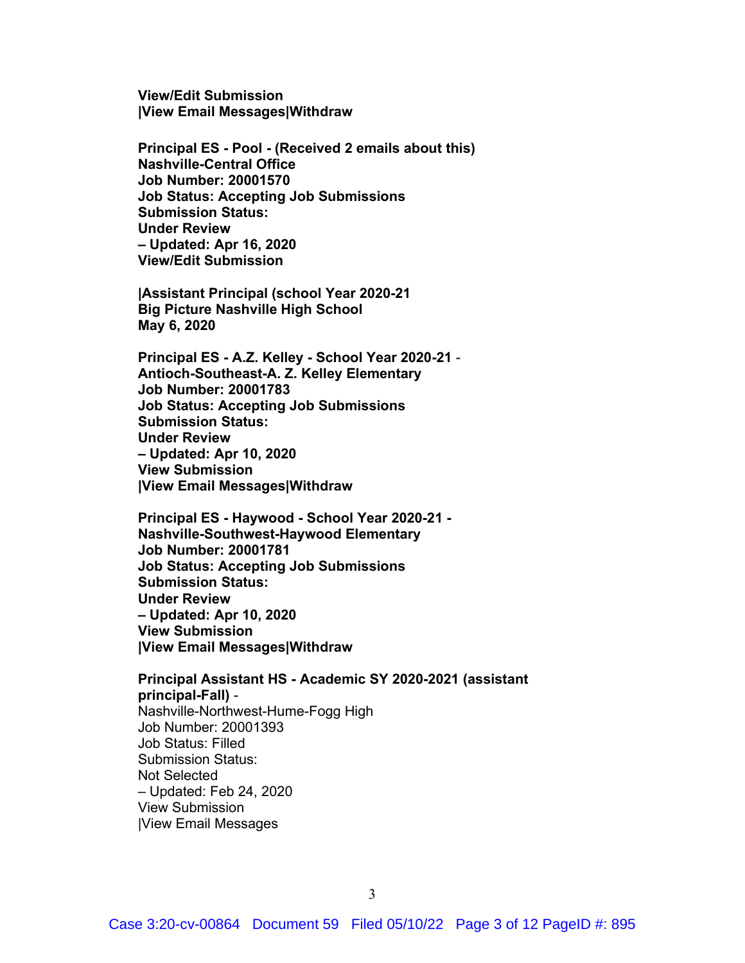**View/Edit Submission |View Email Messages|Withdraw** 

**Principal ES - Pool - (Received 2 emails about this) Nashville-Central Office Job Number: 20001570 Job Status: Accepting Job Submissions Submission Status: Under Review – Updated: Apr 16, 2020 View/Edit Submission** 

**|Assistant Principal (school Year 2020-21 Big Picture Nashville High School May 6, 2020** 

**Principal ES - A.Z. Kelley - School Year 2020-21** - **Antioch-Southeast-A. Z. Kelley Elementary Job Number: 20001783 Job Status: Accepting Job Submissions Submission Status: Under Review – Updated: Apr 10, 2020 View Submission |View Email Messages|Withdraw** 

**Principal ES - Haywood - School Year 2020-21 - Nashville-Southwest-Haywood Elementary Job Number: 20001781 Job Status: Accepting Job Submissions Submission Status: Under Review – Updated: Apr 10, 2020 View Submission |View Email Messages|Withdraw** 

**Principal Assistant HS - Academic SY 2020-2021 (assistant principal-Fall)** - Nashville-Northwest-Hume-Fogg High Job Number: 20001393 Job Status: Filled Submission Status: Not Selected – Updated: Feb 24, 2020 View Submission |View Email Messages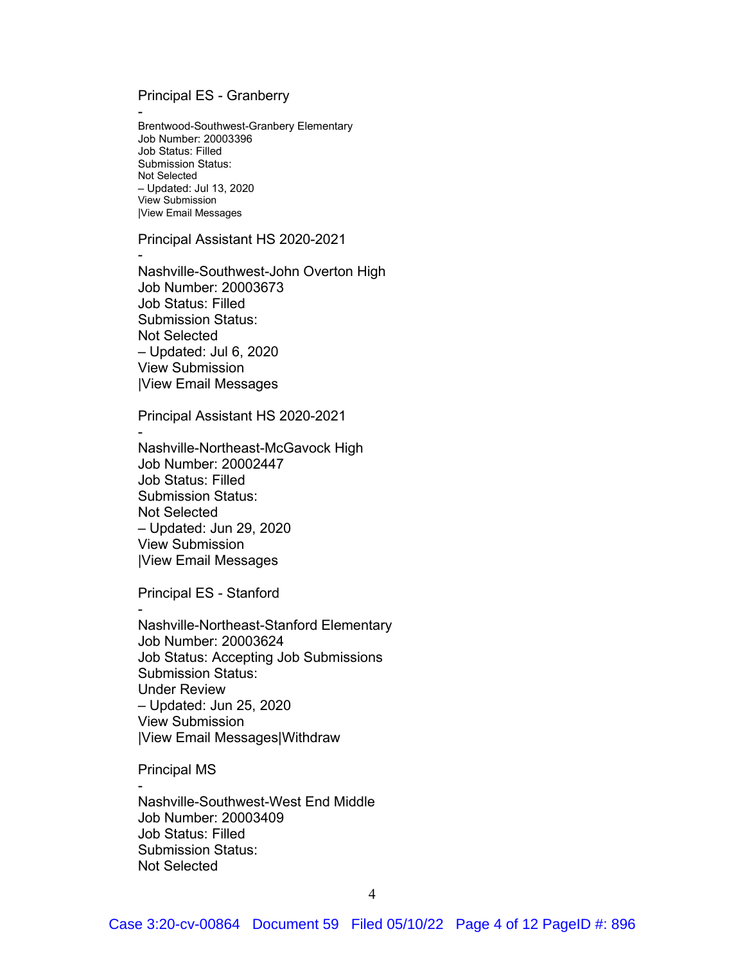Principal ES - Granberry

- Brentwood-Southwest-Granbery Elementary Job Number: 20003396 Job Status: Filled Submission Status: Not Selected – Updated: Jul 13, 2020 View Submission |View Email Messages

Principal Assistant HS 2020-2021

- Nashville-Southwest-John Overton High Job Number: 20003673 Job Status: Filled Submission Status: Not Selected – Updated: Jul 6, 2020 View Submission |View Email Messages

Principal Assistant HS 2020-2021

Nashville-Northeast-McGavock High Job Number: 20002447 Job Status: Filled Submission Status: Not Selected – Updated: Jun 29, 2020 View Submission |View Email Messages

Principal ES - Stanford

-

- Nashville-Northeast-Stanford Elementary Job Number: 20003624 Job Status: Accepting Job Submissions Submission Status: Under Review – Updated: Jun 25, 2020 View Submission |View Email Messages|Withdraw

Principal MS

- Nashville-Southwest-West End Middle Job Number: 20003409 Job Status: Filled Submission Status: Not Selected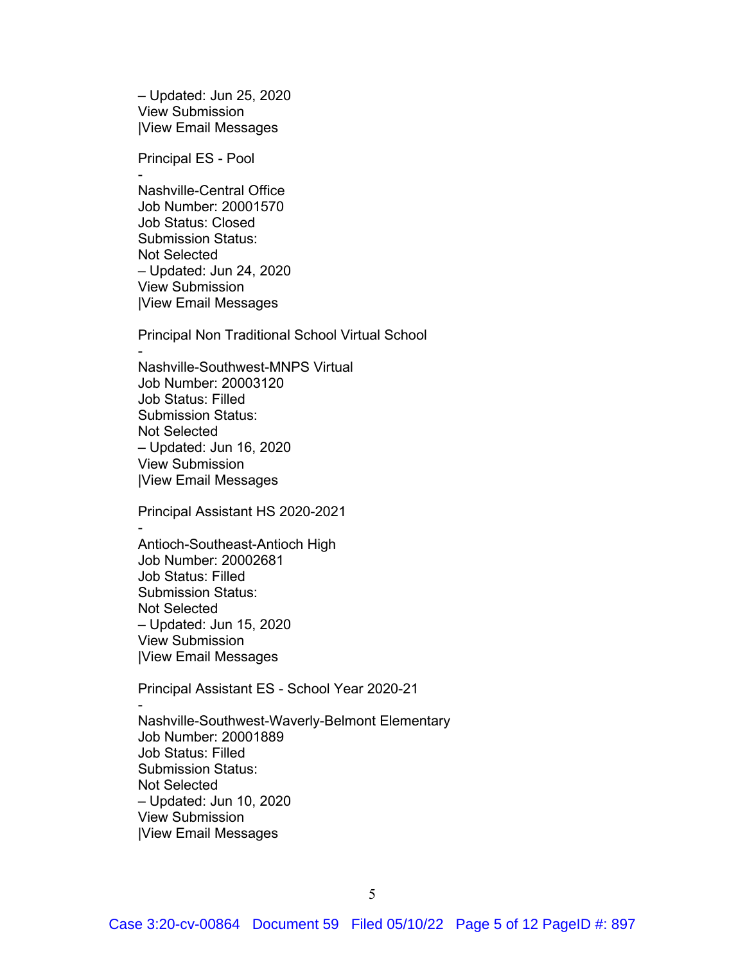– Updated: Jun 25, 2020 View Submission |View Email Messages

Principal ES - Pool

-

- Nashville-Central Office Job Number: 20001570 Job Status: Closed Submission Status: Not Selected – Updated: Jun 24, 2020 View Submission |View Email Messages

Principal Non Traditional School Virtual School

Nashville-Southwest-MNPS Virtual Job Number: 20003120 Job Status: Filled Submission Status: Not Selected – Updated: Jun 16, 2020 View Submission |View Email Messages

Principal Assistant HS 2020-2021 - Antioch-Southeast-Antioch High Job Number: 20002681 Job Status: Filled Submission Status: Not Selected – Updated: Jun 15, 2020 View Submission |View Email Messages

Principal Assistant ES - School Year 2020-21 - Nashville-Southwest-Waverly-Belmont Elementary Job Number: 20001889 Job Status: Filled Submission Status: Not Selected – Updated: Jun 10, 2020 View Submission |View Email Messages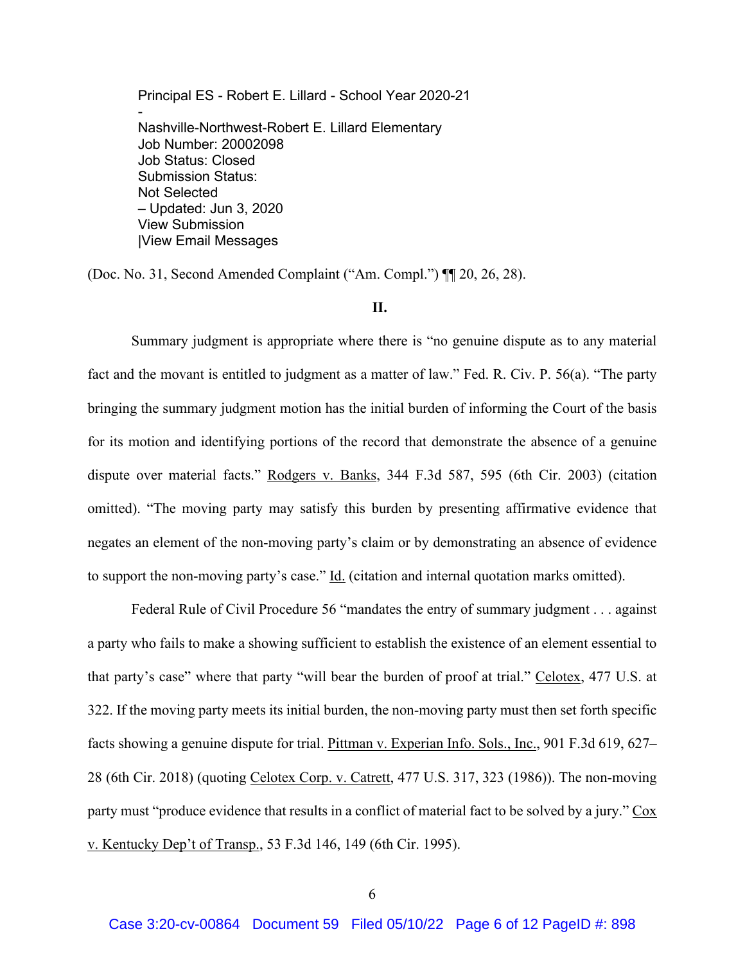Principal ES - Robert E. Lillard - School Year 2020-21 - Nashville-Northwest-Robert E. Lillard Elementary Job Number: 20002098 Job Status: Closed Submission Status: Not Selected – Updated: Jun 3, 2020 View Submission |View Email Messages

(Doc. No. 31, Second Amended Complaint ("Am. Compl.") ¶¶ 20, 26, 28).

#### **II.**

Summary judgment is appropriate where there is "no genuine dispute as to any material fact and the movant is entitled to judgment as a matter of law." Fed. R. Civ. P. 56(a). "The party bringing the summary judgment motion has the initial burden of informing the Court of the basis for its motion and identifying portions of the record that demonstrate the absence of a genuine dispute over material facts." Rodgers v. Banks, 344 F.3d 587, 595 (6th Cir. 2003) (citation omitted). "The moving party may satisfy this burden by presenting affirmative evidence that negates an element of the non-moving party's claim or by demonstrating an absence of evidence to support the non-moving party's case." Id. (citation and internal quotation marks omitted).

Federal Rule of Civil Procedure 56 "mandates the entry of summary judgment . . . against a party who fails to make a showing sufficient to establish the existence of an element essential to that party's case" where that party "will bear the burden of proof at trial." Celotex, 477 U.S. at 322. If the moving party meets its initial burden, the non-moving party must then set forth specific facts showing a genuine dispute for trial. Pittman v. Experian Info. Sols., Inc., 901 F.3d 619, 627– 28 (6th Cir. 2018) (quoting Celotex Corp. v. Catrett, 477 U.S. 317, 323 (1986)). The non-moving party must "produce evidence that results in a conflict of material fact to be solved by a jury." Cox v. Kentucky Dep't of Transp., 53 F.3d 146, 149 (6th Cir. 1995).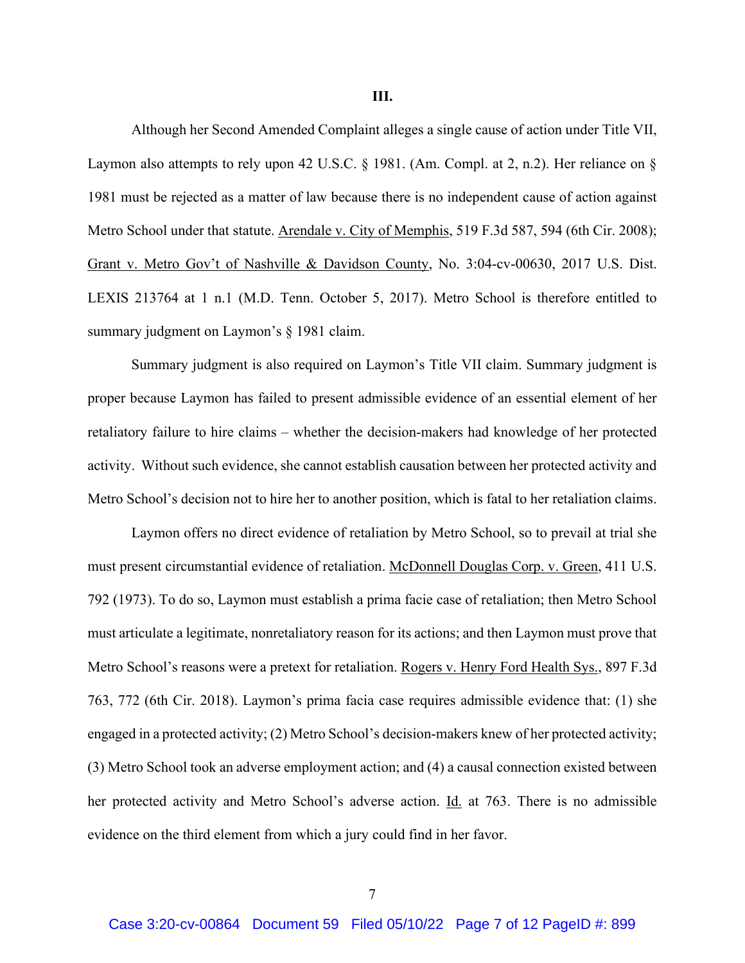**III.**

Although her Second Amended Complaint alleges a single cause of action under Title VII, Laymon also attempts to rely upon 42 U.S.C. § 1981. (Am. Compl. at 2, n.2). Her reliance on § 1981 must be rejected as a matter of law because there is no independent cause of action against Metro School under that statute. Arendale v. City of Memphis, 519 F.3d 587, 594 (6th Cir. 2008); Grant v. Metro Gov't of Nashville & Davidson County, No. 3:04-cv-00630, 2017 U.S. Dist. LEXIS 213764 at 1 n.1 (M.D. Tenn. October 5, 2017). Metro School is therefore entitled to summary judgment on Laymon's § 1981 claim.

Summary judgment is also required on Laymon's Title VII claim. Summary judgment is proper because Laymon has failed to present admissible evidence of an essential element of her retaliatory failure to hire claims – whether the decision-makers had knowledge of her protected activity. Without such evidence, she cannot establish causation between her protected activity and Metro School's decision not to hire her to another position, which is fatal to her retaliation claims.

Laymon offers no direct evidence of retaliation by Metro School, so to prevail at trial she must present circumstantial evidence of retaliation. McDonnell Douglas Corp. v. Green, 411 U.S. 792 (1973). To do so, Laymon must establish a prima facie case of retaliation; then Metro School must articulate a legitimate, nonretaliatory reason for its actions; and then Laymon must prove that Metro School's reasons were a pretext for retaliation. Rogers v. Henry Ford Health Sys., 897 F.3d 763, 772 (6th Cir. 2018). Laymon's prima facia case requires admissible evidence that: (1) she engaged in a protected activity; (2) Metro School's decision-makers knew of her protected activity; (3) Metro School took an adverse employment action; and (4) a causal connection existed between her protected activity and Metro School's adverse action. Id. at 763. There is no admissible evidence on the third element from which a jury could find in her favor.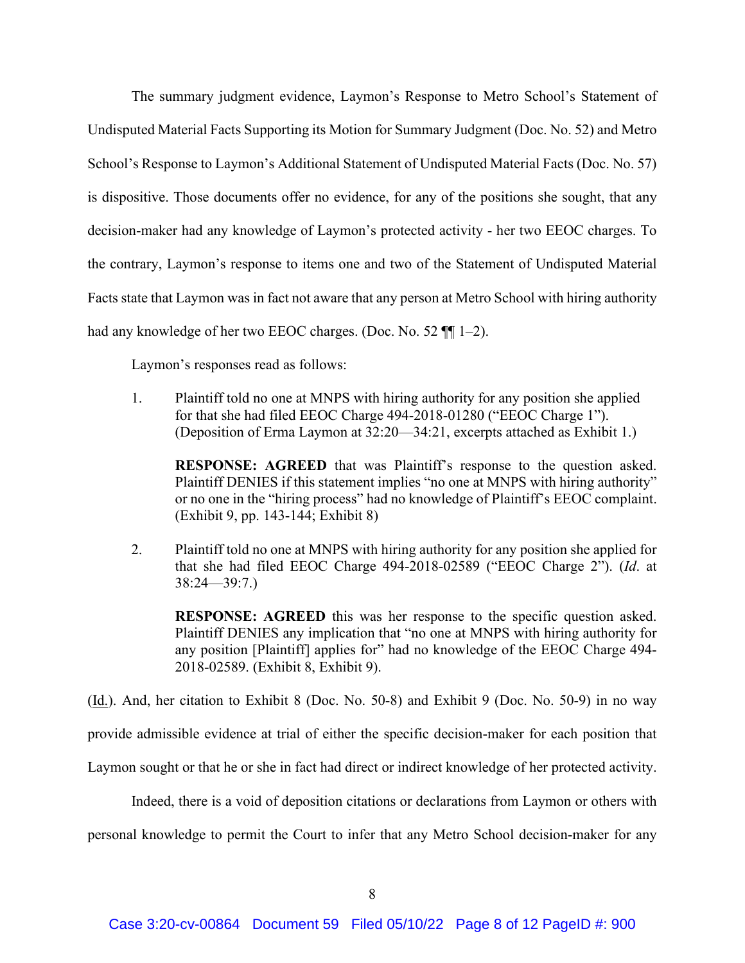The summary judgment evidence, Laymon's Response to Metro School's Statement of Undisputed Material Facts Supporting its Motion for Summary Judgment (Doc. No. 52) and Metro School's Response to Laymon's Additional Statement of Undisputed Material Facts (Doc. No. 57) is dispositive. Those documents offer no evidence, for any of the positions she sought, that any decision-maker had any knowledge of Laymon's protected activity - her two EEOC charges. To the contrary, Laymon's response to items one and two of the Statement of Undisputed Material Facts state that Laymon was in fact not aware that any person at Metro School with hiring authority had any knowledge of her two EEOC charges. (Doc. No. 52  $\P$  1–2).

Laymon's responses read as follows:

1. Plaintiff told no one at MNPS with hiring authority for any position she applied for that she had filed EEOC Charge 494-2018-01280 ("EEOC Charge 1"). (Deposition of Erma Laymon at 32:20—34:21, excerpts attached as Exhibit 1.)

**RESPONSE: AGREED** that was Plaintiff's response to the question asked. Plaintiff DENIES if this statement implies "no one at MNPS with hiring authority" or no one in the "hiring process" had no knowledge of Plaintiff's EEOC complaint. (Exhibit 9, pp. 143-144; Exhibit 8)

2. Plaintiff told no one at MNPS with hiring authority for any position she applied for that she had filed EEOC Charge 494-2018-02589 ("EEOC Charge 2"). (*Id*. at 38:24—39:7.)

**RESPONSE: AGREED** this was her response to the specific question asked. Plaintiff DENIES any implication that "no one at MNPS with hiring authority for any position [Plaintiff] applies for" had no knowledge of the EEOC Charge 494- 2018-02589. (Exhibit 8, Exhibit 9).

(Id.). And, her citation to Exhibit 8 (Doc. No. 50-8) and Exhibit 9 (Doc. No. 50-9) in no way

provide admissible evidence at trial of either the specific decision-maker for each position that

Laymon sought or that he or she in fact had direct or indirect knowledge of her protected activity.

Indeed, there is a void of deposition citations or declarations from Laymon or others with

personal knowledge to permit the Court to infer that any Metro School decision-maker for any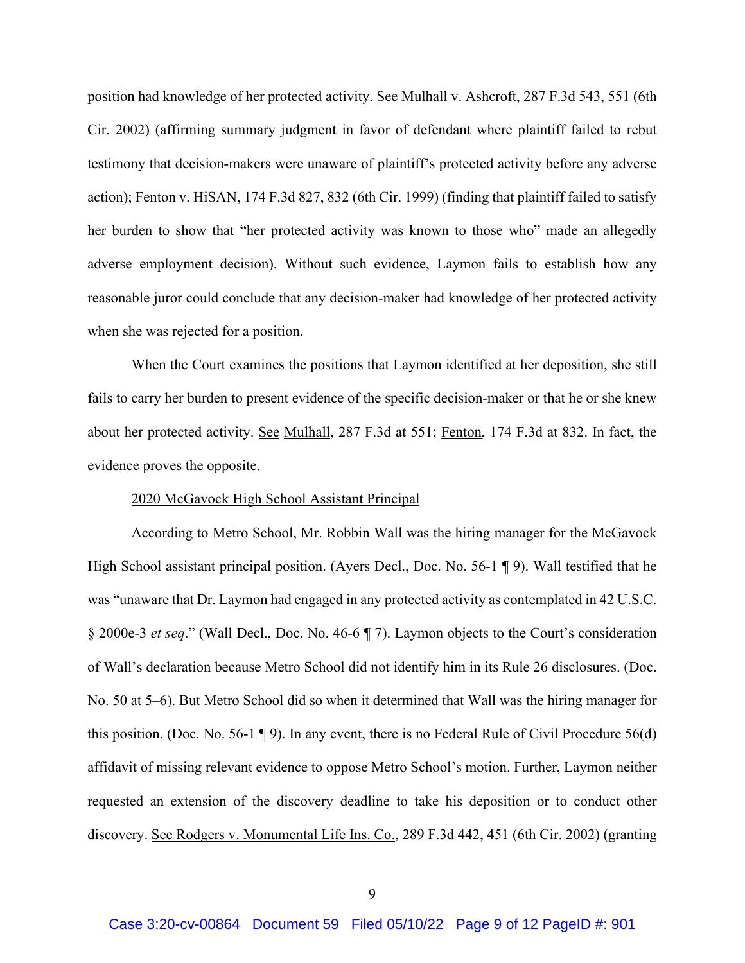position had knowledge of her protected activity. See Mulhall v. Ashcroft, 287 F.3d 543, 551 (6th Cir. 2002) (affirming summary judgment in favor of defendant where plaintiff failed to rebut testimony that decision-makers were unaware of plaintiff's protected activity before any adverse action); Fenton v. HiSAN, 174 F.3d 827, 832 (6th Cir. 1999) (finding that plaintiff failed to satisfy her burden to show that "her protected activity was known to those who" made an allegedly adverse employment decision). Without such evidence, Laymon fails to establish how any reasonable juror could conclude that any decision-maker had knowledge of her protected activity when she was rejected for a position.

When the Court examines the positions that Laymon identified at her deposition, she still fails to carry her burden to present evidence of the specific decision-maker or that he or she knew about her protected activity. See Mulhall, 287 F.3d at 551; Fenton, 174 F.3d at 832. In fact, the evidence proves the opposite.

#### 2020 McGavock High School Assistant Principal

According to Metro School, Mr. Robbin Wall was the hiring manager for the McGavock High School assistant principal position. (Ayers Decl., Doc. No. 56-1 ¶ 9). Wall testified that he was "unaware that Dr. Laymon had engaged in any protected activity as contemplated in 42 U.S.C. § 2000e-3 *et seq*." (Wall Decl., Doc. No. 46-6 ¶ 7). Laymon objects to the Court's consideration of Wall's declaration because Metro School did not identify him in its Rule 26 disclosures. (Doc. No. 50 at 5–6). But Metro School did so when it determined that Wall was the hiring manager for this position. (Doc. No. 56-1 ¶ 9). In any event, there is no Federal Rule of Civil Procedure 56(d) affidavit of missing relevant evidence to oppose Metro School's motion. Further, Laymon neither requested an extension of the discovery deadline to take his deposition or to conduct other discovery. See Rodgers v. Monumental Life Ins. Co., 289 F.3d 442, 451 (6th Cir. 2002) (granting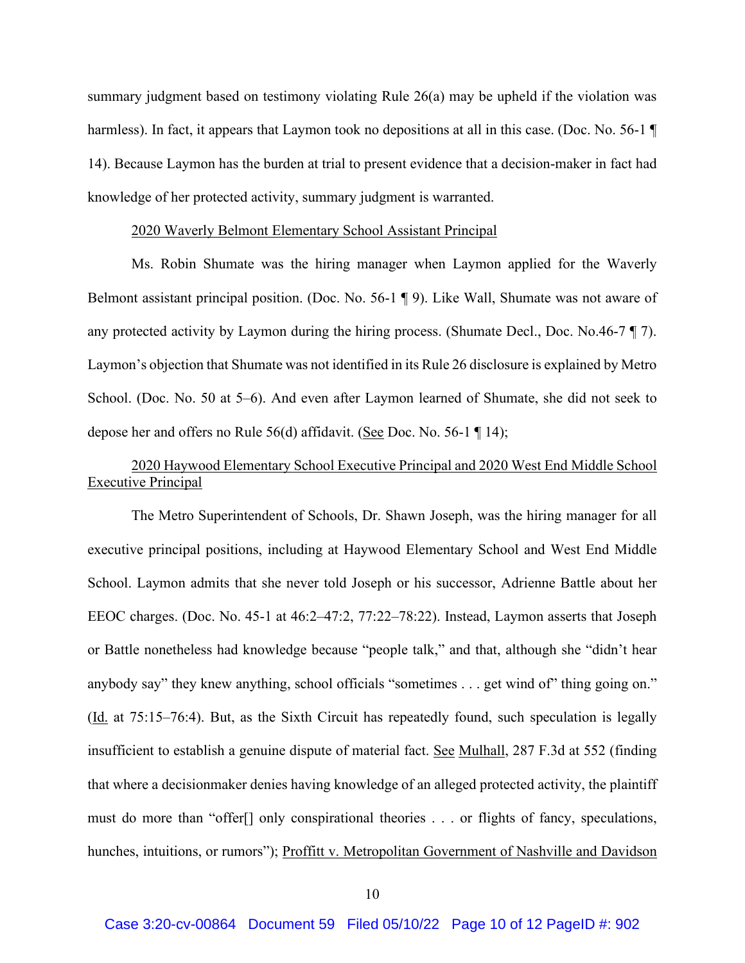summary judgment based on testimony violating Rule 26(a) may be upheld if the violation was harmless). In fact, it appears that Laymon took no depositions at all in this case. (Doc. No. 56-1 14). Because Laymon has the burden at trial to present evidence that a decision-maker in fact had knowledge of her protected activity, summary judgment is warranted.

#### 2020 Waverly Belmont Elementary School Assistant Principal

Ms. Robin Shumate was the hiring manager when Laymon applied for the Waverly Belmont assistant principal position. (Doc. No. 56-1 ¶ 9). Like Wall, Shumate was not aware of any protected activity by Laymon during the hiring process. (Shumate Decl., Doc. No.46-7 ¶ 7). Laymon's objection that Shumate was not identified in its Rule 26 disclosure is explained by Metro School. (Doc. No. 50 at 5–6). And even after Laymon learned of Shumate, she did not seek to depose her and offers no Rule 56(d) affidavit. (See Doc. No. 56-1 ¶ 14);

## 2020 Haywood Elementary School Executive Principal and 2020 West End Middle School Executive Principal

The Metro Superintendent of Schools, Dr. Shawn Joseph, was the hiring manager for all executive principal positions, including at Haywood Elementary School and West End Middle School. Laymon admits that she never told Joseph or his successor, Adrienne Battle about her EEOC charges. (Doc. No. 45-1 at 46:2–47:2, 77:22–78:22). Instead, Laymon asserts that Joseph or Battle nonetheless had knowledge because "people talk," and that, although she "didn't hear anybody say" they knew anything, school officials "sometimes . . . get wind of" thing going on." (Id. at 75:15–76:4). But, as the Sixth Circuit has repeatedly found, such speculation is legally insufficient to establish a genuine dispute of material fact. See Mulhall, 287 F.3d at 552 (finding that where a decisionmaker denies having knowledge of an alleged protected activity, the plaintiff must do more than "offer[] only conspirational theories . . . or flights of fancy, speculations, hunches, intuitions, or rumors"); Proffitt v. Metropolitan Government of Nashville and Davidson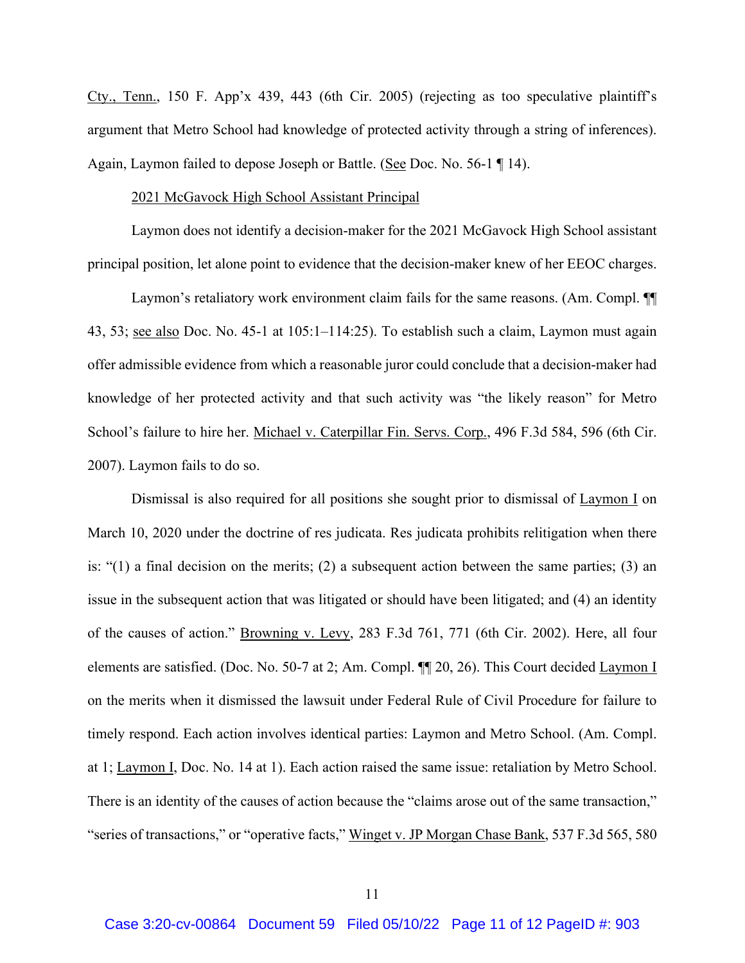Cty., Tenn., 150 F. App'x 439, 443 (6th Cir. 2005) (rejecting as too speculative plaintiff's argument that Metro School had knowledge of protected activity through a string of inferences). Again, Laymon failed to depose Joseph or Battle. (See Doc. No. 56-1 ¶ 14).

#### 2021 McGavock High School Assistant Principal

Laymon does not identify a decision-maker for the 2021 McGavock High School assistant principal position, let alone point to evidence that the decision-maker knew of her EEOC charges.

Laymon's retaliatory work environment claim fails for the same reasons. (Am. Compl. ¶¶ 43, 53; see also Doc. No. 45-1 at 105:1–114:25). To establish such a claim, Laymon must again offer admissible evidence from which a reasonable juror could conclude that a decision-maker had knowledge of her protected activity and that such activity was "the likely reason" for Metro School's failure to hire her. Michael v. Caterpillar Fin. Servs. Corp., 496 F.3d 584, 596 (6th Cir. 2007). Laymon fails to do so.

Dismissal is also required for all positions she sought prior to dismissal of Laymon I on March 10, 2020 under the doctrine of res judicata. Res judicata prohibits relitigation when there is: "(1) a final decision on the merits; (2) a subsequent action between the same parties; (3) an issue in the subsequent action that was litigated or should have been litigated; and (4) an identity of the causes of action." Browning v. Levy, 283 F.3d 761, 771 (6th Cir. 2002). Here, all four elements are satisfied. (Doc. No. 50-7 at 2; Am. Compl. ¶¶ 20, 26). This Court decided Laymon I on the merits when it dismissed the lawsuit under Federal Rule of Civil Procedure for failure to timely respond. Each action involves identical parties: Laymon and Metro School. (Am. Compl. at 1; Laymon I, Doc. No. 14 at 1). Each action raised the same issue: retaliation by Metro School. There is an identity of the causes of action because the "claims arose out of the same transaction," "series of transactions," or "operative facts," Winget v. JP Morgan Chase Bank, 537 F.3d 565, 580